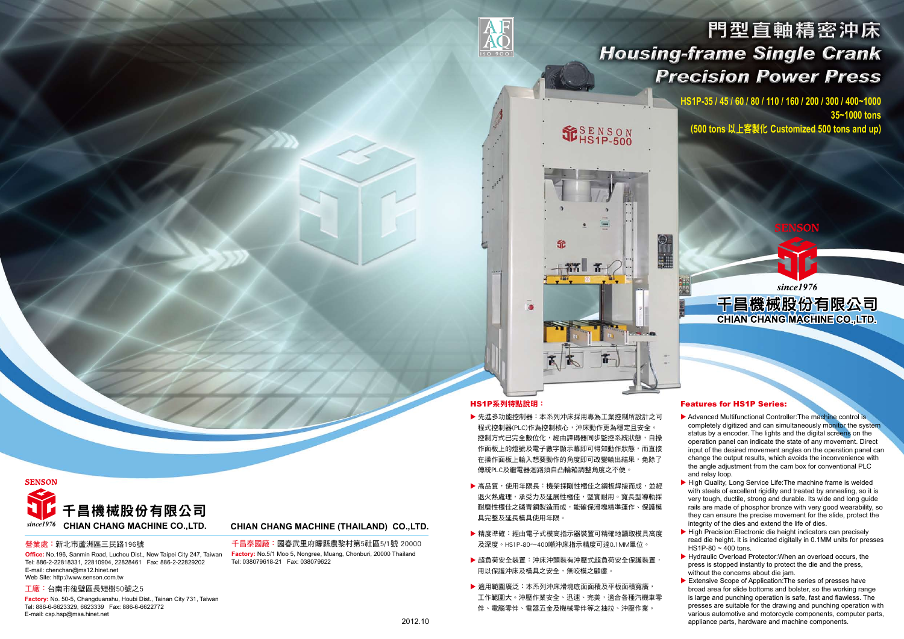

## HS1P系列特點說明:

Â

**ISO 9001** 

- ▶ 先進多功能控制器:本系列沖床採用專為工業控制所設計之可 程式控制器(PLC)作為控制核心,沖床動作更為穩定且安全。 控制方式已完全數位化,經由譯碼器同步監控系統狀態,自操 作面板上的燈號及電子數字顯示幕即可得知動作狀態,而直接 在操作面板上輸入想要動作的角度即可改變輸出結果,免除了 傳統PLC及繼電器迴路須自凸輪箱調整角度之不便。
- ▶ 高品質,使用年限長:機架採剛性極佳之鋼板焊接而成,並經 退火熱處理,承受力及延展性極佳,堅實耐用。寬長型導軌採 耐磨性極佳之磷青銅製造而成,能確保滑塊精準運作、保護模 具完整及延長模具使用年限。  $\blacktriangleright$  High Quality, Long Service Life: The machine frame is welded with steels of excellent rigidity and treated by annealing, so it is very tough, ductile, strong and durable. Its wide and long guide rails are made of phosphor bronze with very good wearability, so they can ensure the precise movement for the slide, protect the integrity of the dies and extend the life of dies.
- ▶ 精度準確: 經由電子式模高指示器裝置可精確地讀取模具高度 及深度。HS1P-80~400噸沖床指示精度可達0.1MM單位。  $\blacktriangleright$  High Precision: Electronic die height indicators can precisely read die height. It is indicated digitally in 0.1MM units for presses HS1P-80  $\sim$  400 tons.
- ▶ 超負荷安全裝置:沖床沖頭裝有沖壓式超負荷安全保護裝置, 用以保護沖床及模具之安全,無咬模之顧慮。
- ▶ 滴用範圍廣泛:本系列沖床滑塊底面面積及平板面積寬廣, 工作範圍大。沖壓作業安全、迅速、完美,適合各種汽機車零 件、電腦零件、電器五金及機械零件等之抽拉、沖壓作業。

 $\triangleright$  Advanced Multifunctional Controller: The machine control is completely digitized and can simultaneously monitor the system status by a encoder. The lights and the digital screens on the operation panel can indicate the state of any movement. Direct input of the desired movement angles on the operation panel can change the output results, which avoids the inconvenience with the angle adjustment from the cam box for conventional PLC and relay loop.

since1976

千昌機械股份有限公司

**CHIAN CHANG MACHINE CO., LTD.** 

### Features for HS1P Series:

- $\blacktriangleright$  Hydraulic Overload Protector: When an overload occurs, the press is stopped instantly to protect the die and the press, without the concerns about die jam.
- $\blacktriangleright$  Extensive Scope of Application: The series of presses have broad area for slide bottoms and bolster, so the working range is large and punching operation is safe, fast and flawless. The presses are suitable for the drawing and punching operation with various automotive and motorcycle components, computer parts, appliance parts, hardware and machine components.



### 營業處:新北市蘆洲區三民路196號

**Office:** No.196, Sanmin Road, Luchou Dist., New Taipei City 247, Taiwan Tel: 886-2-22818331, 22810904, 22828461 Fax: 886-2-22829202 E-mail: chenchan@ms12.hinet.net Web Site: http://www.senson.com.tw

千昌泰國廠:國春武里府矇縣農黎村第5社區5/1號 20000 **Factory:** No.5/1 Moo 5, Nongree, Muang, Chonburi, 20000 Thailand Tel: 038079618-21 Fax: 038079622

### 工廠:台南市後壁區長短樹50號之5

**Factory:** No. 50-5, Changduanshu, Houbi Dist., Tainan City 731, Taiwan Tel: 886-6-6623329, 6623339 Fax: 886-6-6622772 E-mail: csp.hsp@msa.hinet.net

# 門型直軸精密沖床 **Housing-frame Single Crank Precision Power Press**

**HS1P-35 / 45 / 60 / 80 / 110 / 160 / 200 / 300 / 400~1000 35~1000 tons**  (**500 tons** 以上客製化 **Customized 500 tons and up**)